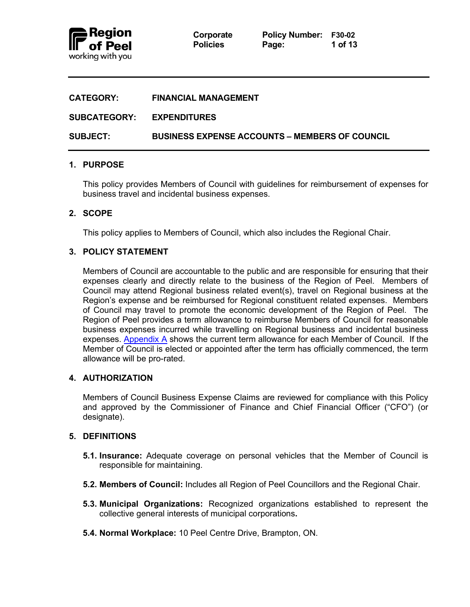

| <b>CATEGORY:</b>    | <b>FINANCIAL MANAGEMENT</b>                           |
|---------------------|-------------------------------------------------------|
| <b>SUBCATEGORY:</b> | <b>EXPENDITURES</b>                                   |
| <b>SUBJECT:</b>     | <b>BUSINESS EXPENSE ACCOUNTS – MEMBERS OF COUNCIL</b> |

# **1. PURPOSE**

This policy provides Members of Council with guidelines for reimbursement of expenses for business travel and incidental business expenses.

# **2. SCOPE**

This policy applies to Members of Council, which also includes the Regional Chair.

# **3. POLICY STATEMENT**

Members of Council are accountable to the public and are responsible for ensuring that their expenses clearly and directly relate to the business of the Region of Peel. Members of Council may attend Regional business related event(s), travel on Regional business at the Region's expense and be reimbursed for Regional constituent related expenses. Members of Council may travel to promote the economic development of the Region of Peel. The Region of Peel provides a term allowance to reimburse Members of Council for reasonable business expenses incurred while travelling on Regional business and incidental business expenses. [Appendix A](#page-11-0) shows the current term allowance for each Member of Council. If the Member of Council is elected or appointed after the term has officially commenced, the term allowance will be pro-rated.

### **4. AUTHORIZATION**

Members of Council Business Expense Claims are reviewed for compliance with this Policy and approved by the Commissioner of Finance and Chief Financial Officer ("CFO") (or designate).

### **5. DEFINITIONS**

- **5.1. Insurance:** Adequate coverage on personal vehicles that the Member of Council is responsible for maintaining.
- **5.2. Members of Council:** Includes all Region of Peel Councillors and the Regional Chair.
- **5.3. Municipal Organizations:** Recognized organizations established to represent the collective general interests of municipal corporations**.**
- **5.4. Normal Workplace:** 10 Peel Centre Drive, Brampton, ON.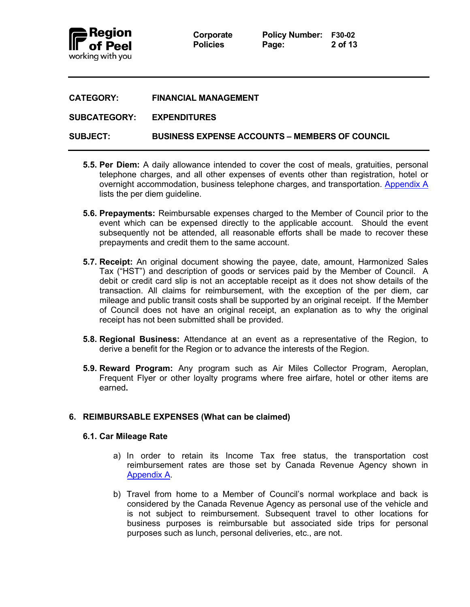

**Corporate Policy Number: F30-02 Policies Page: 2 of 13**

| <b>CATEGORY:</b>    | <b>FINANCIAL MANAGEMENT</b>                           |
|---------------------|-------------------------------------------------------|
| <b>SUBCATEGORY:</b> | <b>EXPENDITURES</b>                                   |
| <b>SUBJECT:</b>     | <b>BUSINESS EXPENSE ACCOUNTS – MEMBERS OF COUNCIL</b> |

- **5.5. Per Diem:** A daily allowance intended to cover the cost of meals, gratuities, personal telephone charges, and all other expenses of events other than registration, hotel or overnight accommodation, business telephone charges, and transportation. [Appendix A](#page-11-0) lists the per diem guideline.
- **5.6. Prepayments:** Reimbursable expenses charged to the Member of Council prior to the event which can be expensed directly to the applicable account. Should the event subsequently not be attended, all reasonable efforts shall be made to recover these prepayments and credit them to the same account.
- **5.7. Receipt:** An original document showing the payee, date, amount, Harmonized Sales Tax ("HST") and description of goods or services paid by the Member of Council. A debit or credit card slip is not an acceptable receipt as it does not show details of the transaction. All claims for reimbursement, with the exception of the per diem, car mileage and public transit costs shall be supported by an original receipt. If the Member of Council does not have an original receipt, an explanation as to why the original receipt has not been submitted shall be provided.
- **5.8. Regional Business:** Attendance at an event as a representative of the Region, to derive a benefit for the Region or to advance the interests of the Region.
- **5.9. Reward Program:** Any program such as Air Miles Collector Program, Aeroplan, Frequent Flyer or other loyalty programs where free airfare, hotel or other items are earned**.**

# **6. REIMBURSABLE EXPENSES (What can be claimed)**

### **6.1. Car Mileage Rate**

- a) In order to retain its Income Tax free status, the transportation cost reimbursement rates are those set by Canada Revenue Agency shown in [Appendix A.](#page-11-0)
- b) Travel from home to a Member of Council's normal workplace and back is considered by the Canada Revenue Agency as personal use of the vehicle and is not subject to reimbursement. Subsequent travel to other locations for business purposes is reimbursable but associated side trips for personal purposes such as lunch, personal deliveries, etc., are not.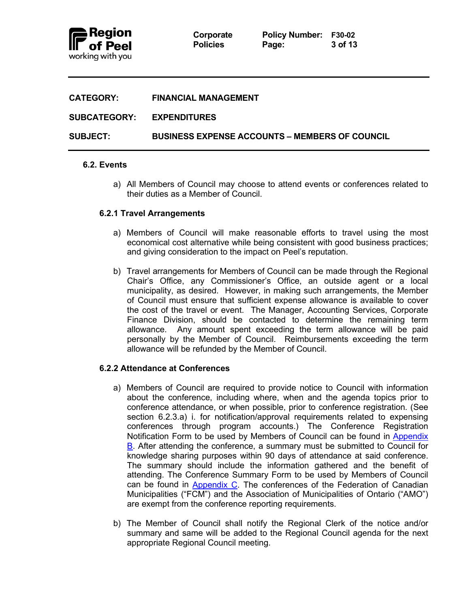

**Corporate Policy Number: F30-02 Policies Page: 3 of 13**

| <b>CATEGORY:</b>    | <b>FINANCIAL MANAGEMENT</b>                           |
|---------------------|-------------------------------------------------------|
| <b>SUBCATEGORY:</b> | <b>EXPENDITURES</b>                                   |
| <b>SUBJECT:</b>     | <b>BUSINESS EXPENSE ACCOUNTS – MEMBERS OF COUNCIL</b> |

### **6.2. Events**

a) All Members of Council may choose to attend events or conferences related to their duties as a Member of Council.

### **6.2.1 Travel Arrangements**

- a) Members of Council will make reasonable efforts to travel using the most economical cost alternative while being consistent with good business practices; and giving consideration to the impact on Peel's reputation.
- b) Travel arrangements for Members of Council can be made through the Regional Chair's Office, any Commissioner's Office, an outside agent or a local municipality, as desired. However, in making such arrangements, the Member of Council must ensure that sufficient expense allowance is available to cover the cost of the travel or event. The Manager, Accounting Services, Corporate Finance Division, should be contacted to determine the remaining term allowance. Any amount spent exceeding the term allowance will be paid personally by the Member of Council. Reimbursements exceeding the term allowance will be refunded by the Member of Council.

### **6.2.2 Attendance at Conferences**

- a) Members of Council are required to provide notice to Council with information about the conference, including where, when and the agenda topics prior to conference attendance, or when possible, prior to conference registration. (See section 6.2.3.a) i. for notification/approval requirements related to expensing conferences through program accounts.) The Conference Registration Notification Form to be used by Members of Council can be found in [Appendix](#page-11-0)  [B.](#page-11-0) After attending the conference, a summary must be submitted to Council for knowledge sharing purposes within 90 days of attendance at said conference. The summary should include the information gathered and the benefit of attending. The Conference Summary Form to be used by Members of Council can be found in  $Appendix C$ . The conferences of the Federation of Canadian Municipalities ("FCM") and the Association of Municipalities of Ontario ("AMO") are exempt from the conference reporting requirements.
- b) The Member of Council shall notify the Regional Clerk of the notice and/or summary and same will be added to the Regional Council agenda for the next appropriate Regional Council meeting.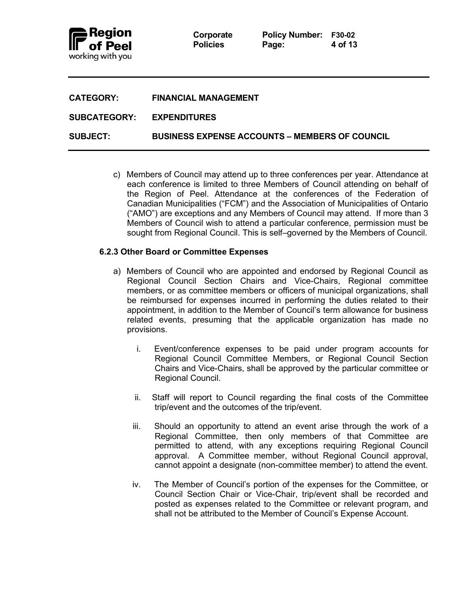

**Corporate Policy Number: F30-02 Policies Page: 4 of 13**

| <b>CATEGORY:</b>                 | <b>FINANCIAL MANAGEMENT</b>                           |
|----------------------------------|-------------------------------------------------------|
| <b>SUBCATEGORY: EXPENDITURES</b> |                                                       |
| <b>SUBJECT:</b>                  | <b>BUSINESS EXPENSE ACCOUNTS – MEMBERS OF COUNCIL</b> |

c) Members of Council may attend up to three conferences per year. Attendance at each conference is limited to three Members of Council attending on behalf of the Region of Peel. Attendance at the conferences of the Federation of Canadian Municipalities ("FCM") and the Association of Municipalities of Ontario ("AMO") are exceptions and any Members of Council may attend. If more than 3 Members of Council wish to attend a particular conference, permission must be sought from Regional Council. This is self–governed by the Members of Council.

# **6.2.3 Other Board or Committee Expenses**

- a) Members of Council who are appointed and endorsed by Regional Council as Regional Council Section Chairs and Vice-Chairs, Regional committee members, or as committee members or officers of municipal organizations, shall be reimbursed for expenses incurred in performing the duties related to their appointment, in addition to the Member of Council's term allowance for business related events, presuming that the applicable organization has made no provisions.
	- i. Event/conference expenses to be paid under program accounts for Regional Council Committee Members, or Regional Council Section Chairs and Vice-Chairs, shall be approved by the particular committee or Regional Council.
	- ii. Staff will report to Council regarding the final costs of the Committee trip/event and the outcomes of the trip/event.
	- iii. Should an opportunity to attend an event arise through the work of a Regional Committee, then only members of that Committee are permitted to attend, with any exceptions requiring Regional Council approval. A Committee member, without Regional Council approval, cannot appoint a designate (non-committee member) to attend the event.
	- iv. The Member of Council's portion of the expenses for the Committee, or Council Section Chair or Vice-Chair, trip/event shall be recorded and posted as expenses related to the Committee or relevant program, and shall not be attributed to the Member of Council's Expense Account.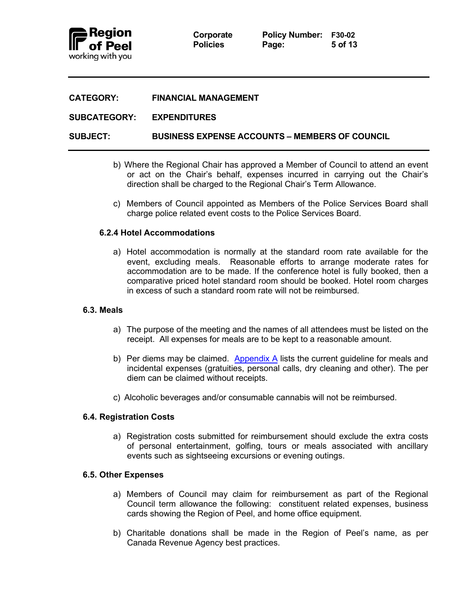

### **CATEGORY: FINANCIAL MANAGEMENT**

### **SUBCATEGORY: EXPENDITURES**

**SUBJECT: BUSINESS EXPENSE ACCOUNTS – MEMBERS OF COUNCIL**

- b) Where the Regional Chair has approved a Member of Council to attend an event or act on the Chair's behalf, expenses incurred in carrying out the Chair's direction shall be charged to the Regional Chair's Term Allowance.
- c) Members of Council appointed as Members of the Police Services Board shall charge police related event costs to the Police Services Board.

### **6.2.4 Hotel Accommodations**

a) Hotel accommodation is normally at the standard room rate available for the event, excluding meals. Reasonable efforts to arrange moderate rates for accommodation are to be made. If the conference hotel is fully booked, then a comparative priced hotel standard room should be booked. Hotel room charges in excess of such a standard room rate will not be reimbursed.

#### **6.3. Meals**

- a) The purpose of the meeting and the names of all attendees must be listed on the receipt. All expenses for meals are to be kept to a reasonable amount.
- b) Per diems may be claimed. [Appendix A](#page-11-0) lists the current guideline for meals and incidental expenses (gratuities, personal calls, dry cleaning and other). The per diem can be claimed without receipts.
- c) Alcoholic beverages and/or consumable cannabis will not be reimbursed.

### **6.4. Registration Costs**

a) Registration costs submitted for reimbursement should exclude the extra costs of personal entertainment, golfing, tours or meals associated with ancillary events such as sightseeing excursions or evening outings.

#### **6.5. Other Expenses**

- a) Members of Council may claim for reimbursement as part of the Regional Council term allowance the following: constituent related expenses, business cards showing the Region of Peel, and home office equipment.
- b) Charitable donations shall be made in the Region of Peel's name, as per Canada Revenue Agency best practices.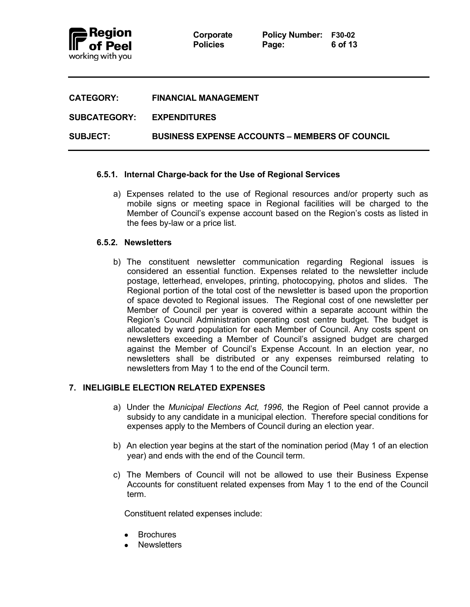

**Corporate Policy Number: F30-02 Policies Page: 6 of 13**

| <b>CATEGORY:</b>          | <b>FINANCIAL MANAGEMENT</b>                           |
|---------------------------|-------------------------------------------------------|
| SUBCATEGORY: EXPENDITURES |                                                       |
| <b>SUBJECT:</b>           | <b>BUSINESS EXPENSE ACCOUNTS – MEMBERS OF COUNCIL</b> |

# **6.5.1. Internal Charge-back for the Use of Regional Services**

a) Expenses related to the use of Regional resources and/or property such as mobile signs or meeting space in Regional facilities will be charged to the Member of Council's expense account based on the Region's costs as listed in the fees by-law or a price list.

### **6.5.2. Newsletters**

b) The constituent newsletter communication regarding Regional issues is considered an essential function. Expenses related to the newsletter include postage, letterhead, envelopes, printing, photocopying, photos and slides. The Regional portion of the total cost of the newsletter is based upon the proportion of space devoted to Regional issues. The Regional cost of one newsletter per Member of Council per year is covered within a separate account within the Region's Council Administration operating cost centre budget. The budget is allocated by ward population for each Member of Council. Any costs spent on newsletters exceeding a Member of Council's assigned budget are charged against the Member of Council's Expense Account. In an election year, no newsletters shall be distributed or any expenses reimbursed relating to newsletters from May 1 to the end of the Council term.

# **7. INELIGIBLE ELECTION RELATED EXPENSES**

- a) Under the *Municipal Elections Act, 1996*, the Region of Peel cannot provide a subsidy to any candidate in a municipal election. Therefore special conditions for expenses apply to the Members of Council during an election year.
- b) An election year begins at the start of the nomination period (May 1 of an election year) and ends with the end of the Council term.
- c) The Members of Council will not be allowed to use their Business Expense Accounts for constituent related expenses from May 1 to the end of the Council term.

Constituent related expenses include:

- Brochures
- **Newsletters**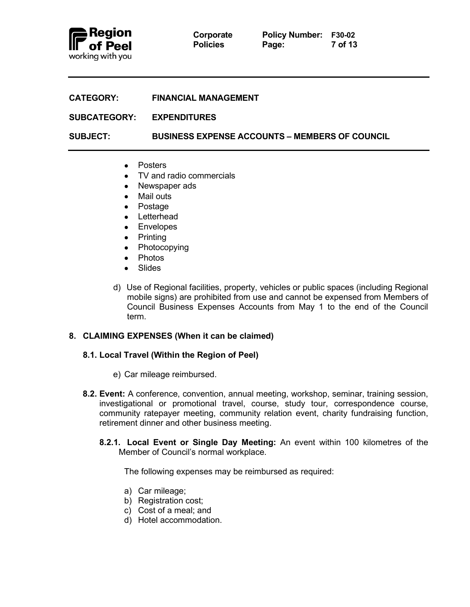

| Corporate       |
|-----------------|
| <b>Policies</b> |

| <b>CATEGORY:</b> | <b>FINANCIAL MANAGEMENT</b> |
|------------------|-----------------------------|
|                  |                             |

**SUBCATEGORY: EXPENDITURES**

**SUBJECT: BUSINESS EXPENSE ACCOUNTS – MEMBERS OF COUNCIL**

- Posters
- TV and radio commercials
- Newspaper ads
- Mail outs
- Postage
- Letterhead
- Envelopes
- Printing
- Photocopying
- Photos
- Slides
- d) Use of Regional facilities, property, vehicles or public spaces (including Regional mobile signs) are prohibited from use and cannot be expensed from Members of Council Business Expenses Accounts from May 1 to the end of the Council term.

# **8. CLAIMING EXPENSES (When it can be claimed)**

### **8.1. Local Travel (Within the Region of Peel)**

- e) Car mileage reimbursed.
- **8.2. Event:** A conference, convention, annual meeting, workshop, seminar, training session, investigational or promotional travel, course, study tour, correspondence course, community ratepayer meeting, community relation event, charity fundraising function, retirement dinner and other business meeting.
	- **8.2.1. Local Event or Single Day Meeting:** An event within 100 kilometres of the Member of Council's normal workplace.

The following expenses may be reimbursed as required:

- a) Car mileage;
- b) Registration cost;
- c) Cost of a meal; and
- d) Hotel accommodation.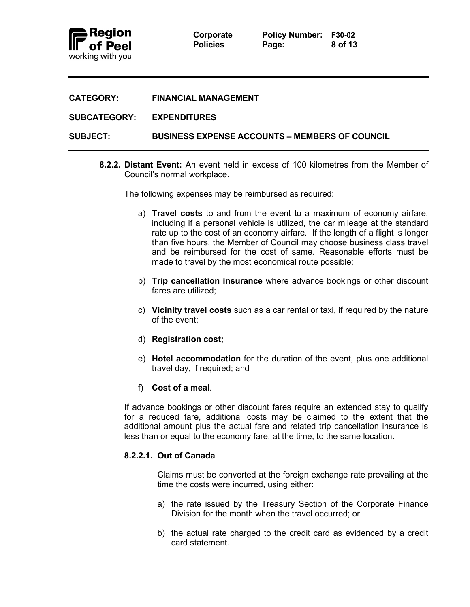

| <b>FINANCIAL MANAGEMENT</b><br><b>CATEGORY:</b> |  |
|-------------------------------------------------|--|
|-------------------------------------------------|--|

### **SUBCATEGORY: EXPENDITURES**

**SUBJECT: BUSINESS EXPENSE ACCOUNTS – MEMBERS OF COUNCIL**

**8.2.2. Distant Event:** An event held in excess of 100 kilometres from the Member of Council's normal workplace.

The following expenses may be reimbursed as required:

- a) **Travel costs** to and from the event to a maximum of economy airfare, including if a personal vehicle is utilized, the car mileage at the standard rate up to the cost of an economy airfare. If the length of a flight is longer than five hours, the Member of Council may choose business class travel and be reimbursed for the cost of same. Reasonable efforts must be made to travel by the most economical route possible;
- b) **Trip cancellation insurance** where advance bookings or other discount fares are utilized;
- c) **Vicinity travel costs** such as a car rental or taxi, if required by the nature of the event;
- d) **Registration cost;**
- e) **Hotel accommodation** for the duration of the event, plus one additional travel day, if required; and
- f) **Cost of a meal**.

If advance bookings or other discount fares require an extended stay to qualify for a reduced fare, additional costs may be claimed to the extent that the additional amount plus the actual fare and related trip cancellation insurance is less than or equal to the economy fare, at the time, to the same location.

### **8.2.2.1. Out of Canada**

Claims must be converted at the foreign exchange rate prevailing at the time the costs were incurred, using either:

- a) the rate issued by the Treasury Section of the Corporate Finance Division for the month when the travel occurred; or
- b) the actual rate charged to the credit card as evidenced by a credit card statement.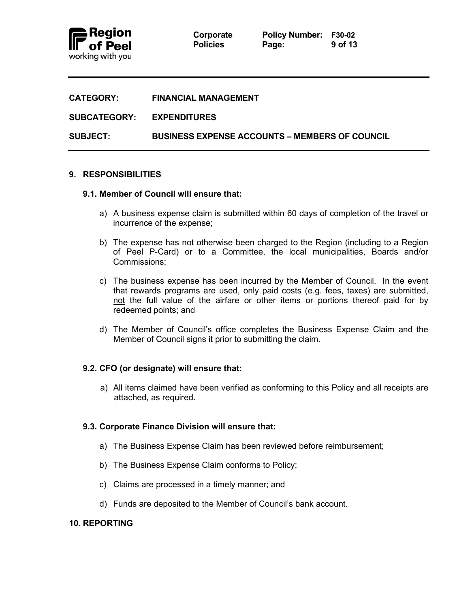

**Corporate Policy Number: F30-02 Policies Page: 9 of 13**

| <b>CATEGORY:</b>          | <b>FINANCIAL MANAGEMENT</b>                           |
|---------------------------|-------------------------------------------------------|
| SUBCATEGORY: EXPENDITURES |                                                       |
| <b>SUBJECT:</b>           | <b>BUSINESS EXPENSE ACCOUNTS – MEMBERS OF COUNCIL</b> |

### **9. RESPONSIBILITIES**

### **9.1. Member of Council will ensure that:**

- a) A business expense claim is submitted within 60 days of completion of the travel or incurrence of the expense;
- b) The expense has not otherwise been charged to the Region (including to a Region of Peel P-Card) or to a Committee, the local municipalities, Boards and/or Commissions;
- c) The business expense has been incurred by the Member of Council. In the event that rewards programs are used, only paid costs (e.g. fees, taxes) are submitted, not the full value of the airfare or other items or portions thereof paid for by redeemed points; and
- d) The Member of Council's office completes the Business Expense Claim and the Member of Council signs it prior to submitting the claim.

### **9.2. CFO (or designate) will ensure that:**

a) All items claimed have been verified as conforming to this Policy and all receipts are attached, as required.

### **9.3. Corporate Finance Division will ensure that:**

- a) The Business Expense Claim has been reviewed before reimbursement;
- b) The Business Expense Claim conforms to Policy;
- c) Claims are processed in a timely manner; and
- d) Funds are deposited to the Member of Council's bank account.

### **10. REPORTING**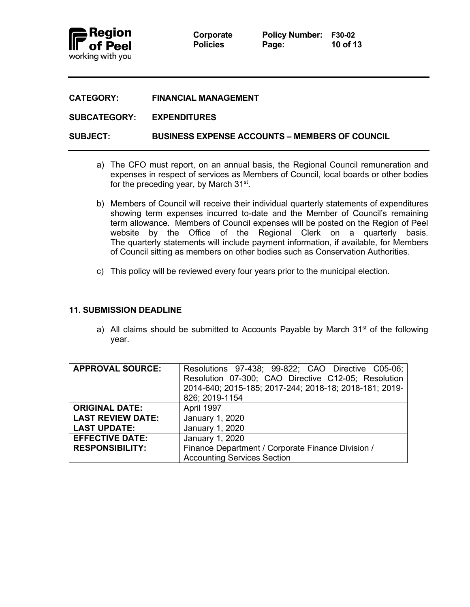

| <b>CATEGORY:</b> | <b>FINANCIAL MANAGEMENT</b> |
|------------------|-----------------------------|
|                  |                             |

### **SUBCATEGORY: EXPENDITURES**

**SUBJECT: BUSINESS EXPENSE ACCOUNTS – MEMBERS OF COUNCIL**

- a) The CFO must report, on an annual basis, the Regional Council remuneration and expenses in respect of services as Members of Council, local boards or other bodies for the preceding year, by March 31<sup>st</sup>.
- b) Members of Council will receive their individual quarterly statements of expenditures showing term expenses incurred to-date and the Member of Council's remaining term allowance. Members of Council expenses will be posted on the Region of Peel website by the Office of the Regional Clerk on a quarterly basis. The quarterly statements will include payment information, if available, for Members of Council sitting as members on other bodies such as Conservation Authorities.
- c) This policy will be reviewed every four years prior to the municipal election.

### **11. SUBMISSION DEADLINE**

a) All claims should be submitted to Accounts Payable by March  $31<sup>st</sup>$  of the following year.

| <b>APPROVAL SOURCE:</b>  | Resolutions 97-438; 99-822; CAO Directive C05-06;      |
|--------------------------|--------------------------------------------------------|
|                          | Resolution 07-300; CAO Directive C12-05; Resolution    |
|                          | 2014-640; 2015-185; 2017-244; 2018-18; 2018-181; 2019- |
|                          | 826; 2019-1154                                         |
| <b>ORIGINAL DATE:</b>    | April 1997                                             |
| <b>LAST REVIEW DATE:</b> | January 1, 2020                                        |
| <b>LAST UPDATE:</b>      | January 1, 2020                                        |
| <b>EFFECTIVE DATE:</b>   | January 1, 2020                                        |
| <b>RESPONSIBILITY:</b>   | Finance Department / Corporate Finance Division /      |
|                          | <b>Accounting Services Section</b>                     |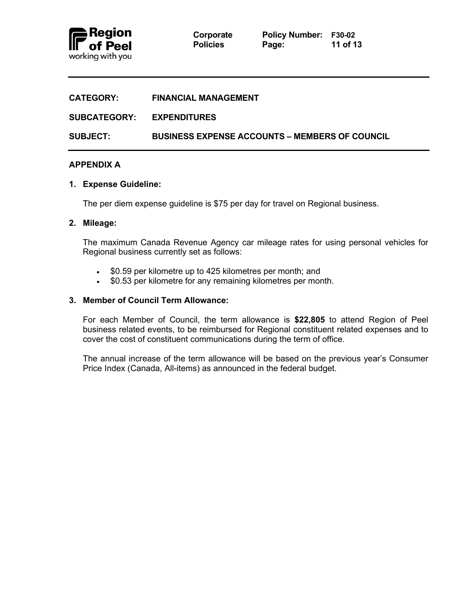

| <b>CATEGORY:</b>    | <b>FINANCIAL MANAGEMENT</b>                           |
|---------------------|-------------------------------------------------------|
| <b>SUBCATEGORY:</b> | <b>EXPENDITURES</b>                                   |
| <b>SUBJECT:</b>     | <b>BUSINESS EXPENSE ACCOUNTS – MEMBERS OF COUNCIL</b> |

# **APPENDIX A**

### **1. Expense Guideline:**

The per diem expense guideline is \$75 per day for travel on Regional business.

### **2. Mileage:**

The maximum Canada Revenue Agency car mileage rates for using personal vehicles for Regional business currently set as follows:

- \$0.59 per kilometre up to 425 kilometres per month; and
- \$0.53 per kilometre for any remaining kilometres per month.

# **3. Member of Council Term Allowance:**

For each Member of Council, the term allowance is **\$22,805** to attend Region of Peel business related events, to be reimbursed for Regional constituent related expenses and to cover the cost of constituent communications during the term of office.

The annual increase of the term allowance will be based on the previous year's Consumer Price Index (Canada, All-items) as announced in the federal budget.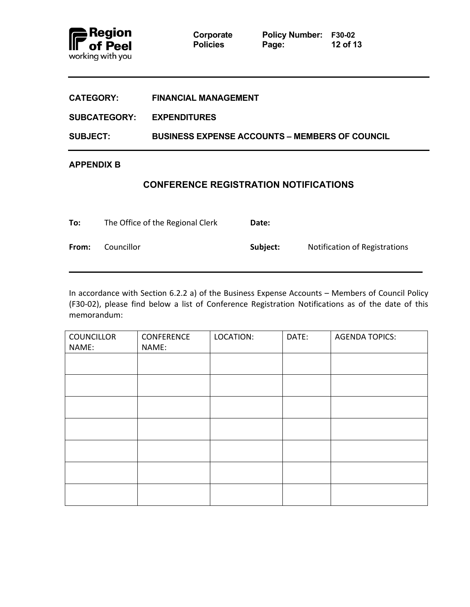

**Policies Page:** 

**Corporate Policy Number: F30-02**<br>**Page: 12 of 13** 

| <b>CATEGORY:</b>    | <b>FINANCIAL MANAGEMENT</b>                           |
|---------------------|-------------------------------------------------------|
| <b>SUBCATEGORY:</b> | <b>EXPENDITURES</b>                                   |
| <b>SUBJECT:</b>     | <b>BUSINESS EXPENSE ACCOUNTS – MEMBERS OF COUNCIL</b> |
| <b>APPENDIX B</b>   |                                                       |

# **CONFERENCE REGISTRATION NOTIFICATIONS**

<span id="page-11-0"></span>

| To:   | The Office of the Regional Clerk | Date:    |                               |
|-------|----------------------------------|----------|-------------------------------|
| From: | Councillor                       | Subject: | Notification of Registrations |

In accordance with Section 6.2.2 a) of the Business Expense Accounts – Members of Council Policy (F30-02), please find below a list of Conference Registration Notifications as of the date of this memorandum:

| <b>COUNCILLOR</b> | CONFERENCE | LOCATION: | DATE: | <b>AGENDA TOPICS:</b> |
|-------------------|------------|-----------|-------|-----------------------|
| NAME:             | NAME:      |           |       |                       |
|                   |            |           |       |                       |
|                   |            |           |       |                       |
|                   |            |           |       |                       |
|                   |            |           |       |                       |
|                   |            |           |       |                       |
|                   |            |           |       |                       |
|                   |            |           |       |                       |
|                   |            |           |       |                       |
|                   |            |           |       |                       |
|                   |            |           |       |                       |
|                   |            |           |       |                       |
|                   |            |           |       |                       |
|                   |            |           |       |                       |
|                   |            |           |       |                       |